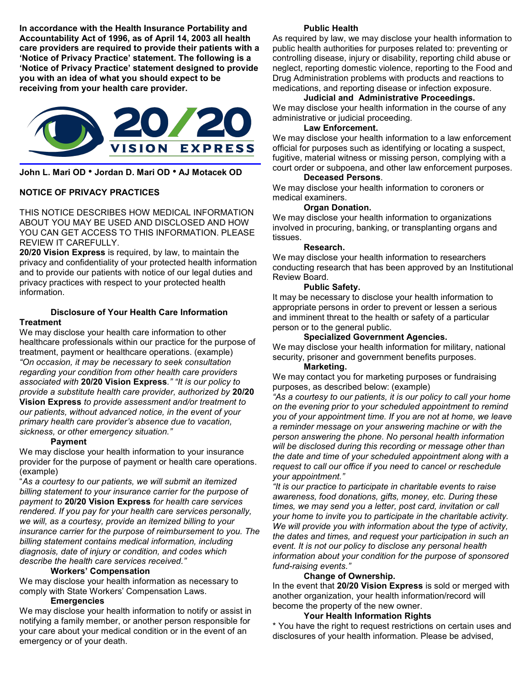In accordance with the Health Insurance Portability and Accountability Act of 1996, as of April 14, 2003 all health care providers are required to provide their patients with a 'Notice of Privacy Practice' statement. The following is a 'Notice of Privacy Practice' statement designed to provide you with an idea of what you should expect to be receiving from your health care provider.



# John L. Mari OD • Jordan D. Mari OD • AJ Motacek OD

# NOTICE OF PRIVACY PRACTICES

THIS NOTICE DESCRIBES HOW MEDICAL INFORMATION ABOUT YOU MAY BE USED AND DISCLOSED AND HOW YOU CAN GET ACCESS TO THIS INFORMATION. PLEASE REVIEW IT CAREFULLY.

20/20 Vision Express is required, by law, to maintain the privacy and confidentiality of your protected health information and to provide our patients with notice of our legal duties and privacy practices with respect to your protected health information.

# Disclosure of Your Health Care Information **Treatment**

We may disclose your health care information to other healthcare professionals within our practice for the purpose of treatment, payment or healthcare operations. (example) "On occasion, it may be necessary to seek consultation regarding your condition from other health care providers associated with 20/20 Vision Express." "It is our policy to provide a substitute health care provider, authorized by 20/20 Vision Express to provide assessment and/or treatment to our patients, without advanced notice, in the event of your primary health care provider's absence due to vacation, sickness, or other emergency situation."

#### Payment

We may disclose your health information to your insurance provider for the purpose of payment or health care operations. (example)

"As a courtesy to our patients, we will submit an itemized billing statement to your insurance carrier for the purpose of payment to 20/20 Vision Express for health care services rendered. If you pay for your health care services personally, we will, as a courtesy, provide an itemized billing to your insurance carrier for the purpose of reimbursement to you. The billing statement contains medical information, including diagnosis, date of injury or condition, and codes which describe the health care services received."

#### Workers' Compensation

We may disclose your health information as necessary to comply with State Workers' Compensation Laws.

#### **Emergencies**

We may disclose your health information to notify or assist in notifying a family member, or another person responsible for your care about your medical condition or in the event of an emergency or of your death.

#### Public Health

As required by law, we may disclose your health information to public health authorities for purposes related to: preventing or controlling disease, injury or disability, reporting child abuse or neglect, reporting domestic violence, reporting to the Food and Drug Administration problems with products and reactions to medications, and reporting disease or infection exposure.

#### Judicial and Administrative Proceedings.

We may disclose your health information in the course of any administrative or judicial proceeding.

#### Law Enforcement.

We may disclose your health information to a law enforcement official for purposes such as identifying or locating a suspect, fugitive, material witness or missing person, complying with a court order or subpoena, and other law enforcement purposes.

#### Deceased Persons.

We may disclose your health information to coroners or medical examiners.

#### Organ Donation.

We may disclose your health information to organizations involved in procuring, banking, or transplanting organs and tissues.

#### Research.

We may disclose your health information to researchers conducting research that has been approved by an Institutional Review Board.

#### Public Safety.

It may be necessary to disclose your health information to appropriate persons in order to prevent or lessen a serious and imminent threat to the health or safety of a particular person or to the general public.

#### Specialized Government Agencies.

We may disclose your health information for military, national security, prisoner and government benefits purposes.

# Marketing.

We may contact you for marketing purposes or fundraising purposes, as described below: (example)

"As a courtesy to our patients, it is our policy to call your home on the evening prior to your scheduled appointment to remind you of your appointment time. If you are not at home, we leave a reminder message on your answering machine or with the person answering the phone. No personal health information will be disclosed during this recording or message other than the date and time of your scheduled appointment along with a request to call our office if you need to cancel or reschedule your appointment."

"It is our practice to participate in charitable events to raise awareness, food donations, gifts, money, etc. During these times, we may send you a letter, post card, invitation or call your home to invite you to participate in the charitable activity. We will provide you with information about the type of activity, the dates and times, and request your participation in such an event. It is not our policy to disclose any personal health information about your condition for the purpose of sponsored fund-raising events."

#### Change of Ownership.

In the event that 20/20 Vision Express is sold or merged with another organization, your health information/record will become the property of the new owner.

#### Your Health Information Rights

\* You have the right to request restrictions on certain uses and disclosures of your health information. Please be advised,